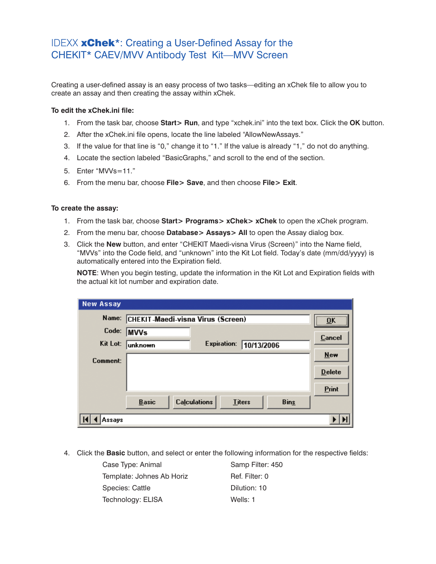## IDEXX **xChek**\*: Creating a User-Defined Assay for the CHEKIT\* CAEV/MVV Antibody Test Kit—MVV Screen

Creating a user-defined assay is an easy process of two tasks—editing an xChek file to allow you to create an assay and then creating the assay within xChek.

## **To edit the xChek.ini file:**

- 1. From the task bar, choose **Start> Run**, and type "xchek.ini" into the text box. Click the **OK** button.
- 2. After the xChek.ini file opens, locate the line labeled "AllowNewAssays."
- 3. If the value for that line is "0," change it to "1." If the value is already "1," do not do anything.
- 4. Locate the section labeled "BasicGraphs," and scroll to the end of the section.
- 5. Enter "MVVs=11."
- 6. From the menu bar, choose **File> Save**, and then choose **File> Exit**.

## **To create the assay:**

- 1. From the task bar, choose **Start> Programs> xChek> xChek** to open the xChek program.
- 2. From the menu bar, choose **Database> Assays> All** to open the Assay dialog box.
- 3. Click the **New** button, and enter "CHEKIT Maedi-visna Virus (Screen)" into the Name field, "MVVs" into the Code field, and "unknown" into the Kit Lot field. Today's date (mm/dd/yyyy) is automatically entered into the Expiration field.

**NOTE:** When you begin testing, update the information in the Kit Lot and Expiration fields with the actual kit lot number and expiration date.

| <b>New Assay</b> |                                          |                     |               |             |               |
|------------------|------------------------------------------|---------------------|---------------|-------------|---------------|
| Name:            | <b>CHEKIT-Maedi-visna Virus (Screen)</b> |                     |               |             | <br>OK<br>    |
| Code:            | <b>MVVs</b>                              |                     |               |             | Cancel        |
| Kit Lot:         | unknown                                  | <b>Expiration:</b>  | 10/13/2006    |             |               |
| Comment:         |                                          |                     |               |             | <b>New</b>    |
|                  |                                          |                     |               |             | <b>Delete</b> |
|                  |                                          |                     |               |             | Print         |
|                  | <b>Basic</b>                             | <b>Calculations</b> | <b>Titers</b> | <b>Bins</b> |               |
| Assavs           |                                          |                     |               |             |               |

4. Click the **Basic** button, and select or enter the following information for the respective fields:

| Case Type: Animal         | Samp Filter: 450 |
|---------------------------|------------------|
| Template: Johnes Ab Horiz | Ref. Filter: 0   |
| Species: Cattle           | Dilution: 10     |
| Technology: ELISA         | Wells: 1         |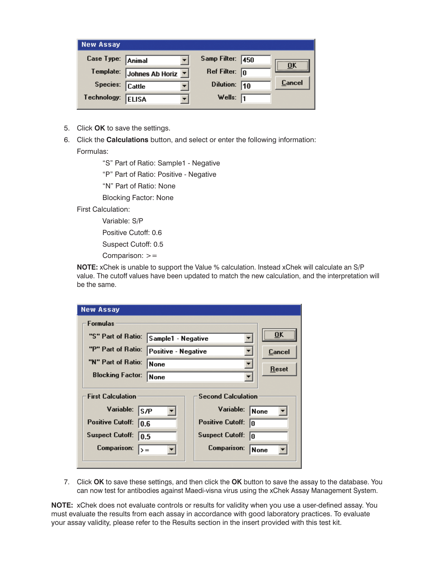| <b>New Assay</b>  |                              |                   |        |
|-------------------|------------------------------|-------------------|--------|
| Case Type: Animal |                              | Samp Filter: 450  | OK     |
| Template:         | Johnes Ab Horiz <sup>y</sup> | Ref Filter:       | 10     |
| Species: Cattle   |                              | Dilution: 10      | Cancel |
| Technology:       | <b>ELISA</b>                 | Wells: $\sqrt{1}$ |        |

- 5. Click **OK** to save the settings.
- 6. Click the **Calculations** button, and select or enter the following information: Formulas:

"S" Part of Ratio: Sample1 - Negative

"P" Part of Ratio: Positive - Negative

"N" Part of Ratio: None

Blocking Factor: None

First Calculation:

Variable: S/P

Positive Cutoff: 0.6

Suspect Cutoff: 0.5

Comparison: >=

**NOTE:** xChek is unable to support the Value % calculation. Instead xChek will calculate an S/P value. The cutoff values have been updated to match the new calculation, and the interpretation will be the same.

| <b>New Assay</b>                        |                     |                               |        |
|-----------------------------------------|---------------------|-------------------------------|--------|
| <b>Formulas</b>                         |                     |                               |        |
| "S" Part of Ratio:                      | Sample1 - Negative  |                               | OK     |
| "P" Part of Ratio:                      | Positive - Negative |                               | Cancel |
| "N" Part of Ratio:<br>None              |                     |                               |        |
| <b>Blocking Factor:</b><br><b>None</b>  |                     |                               | Reset  |
| <b>First Calculation</b>                |                     | <b>Second Calculation</b>     |        |
| Variable:<br>ls/P                       |                     | Variable:                     | None   |
| <b>Positive Cutoff:</b><br>10.6         |                     | <b>Positive Cutoff:</b><br>IN |        |
| <b>Suspect Cutoff:</b><br>10.5          |                     | <b>Suspect Cutoff:</b><br>In  |        |
| <b>Comparison:</b><br>$\rightarrow$ $=$ |                     | <b>Comparison:</b>            | None   |
|                                         |                     |                               |        |

7. Click **OK** to save these settings, and then click the **OK** button to save the assay to the database. You can now test for antibodies against Maedi-visna virus using the xChek Assay Management System.

**NOTE:** xChek does not evaluate controls or results for validity when you use a user-defined assay. You must evaluate the results from each assay in accordance with good laboratory practices. To evaluate your assay validity, please refer to the Results section in the insert provided with this test kit.